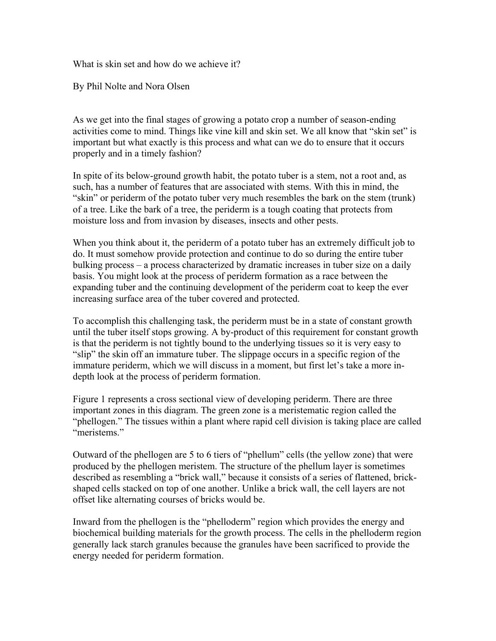What is skin set and how do we achieve it?

By Phil Nolte and Nora Olsen

As we get into the final stages of growing a potato crop a number of season-ending activities come to mind. Things like vine kill and skin set. We all know that "skin set" is important but what exactly is this process and what can we do to ensure that it occurs properly and in a timely fashion?

In spite of its below-ground growth habit, the potato tuber is a stem, not a root and, as such, has a number of features that are associated with stems. With this in mind, the "skin" or periderm of the potato tuber very much resembles the bark on the stem (trunk) of a tree. Like the bark of a tree, the periderm is a tough coating that protects from moisture loss and from invasion by diseases, insects and other pests.

When you think about it, the periderm of a potato tuber has an extremely difficult job to do. It must somehow provide protection and continue to do so during the entire tuber bulking process – a process characterized by dramatic increases in tuber size on a daily basis. You might look at the process of periderm formation as a race between the expanding tuber and the continuing development of the periderm coat to keep the ever increasing surface area of the tuber covered and protected.

To accomplish this challenging task, the periderm must be in a state of constant growth until the tuber itself stops growing. A by-product of this requirement for constant growth is that the periderm is not tightly bound to the underlying tissues so it is very easy to "slip" the skin off an immature tuber. The slippage occurs in a specific region of the immature periderm, which we will discuss in a moment, but first let's take a more indepth look at the process of periderm formation.

Figure 1 represents a cross sectional view of developing periderm. There are three important zones in this diagram. The green zone is a meristematic region called the "phellogen." The tissues within a plant where rapid cell division is taking place are called "meristems."

Outward of the phellogen are 5 to 6 tiers of "phellum" cells (the yellow zone) that were produced by the phellogen meristem. The structure of the phellum layer is sometimes described as resembling a "brick wall," because it consists of a series of flattened, brickshaped cells stacked on top of one another. Unlike a brick wall, the cell layers are not offset like alternating courses of bricks would be.

Inward from the phellogen is the "phelloderm" region which provides the energy and biochemical building materials for the growth process. The cells in the phelloderm region generally lack starch granules because the granules have been sacrificed to provide the energy needed for periderm formation.